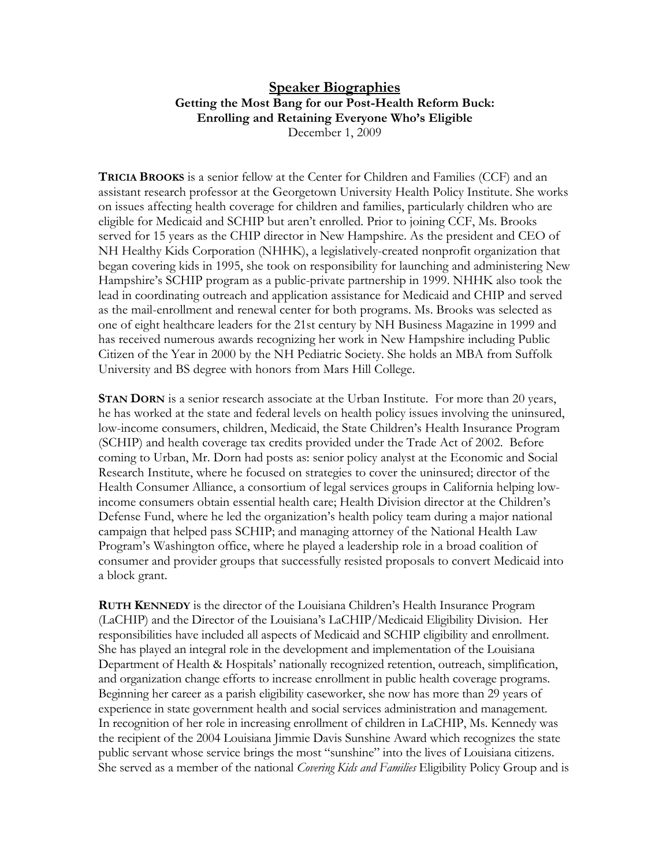## **Speaker Biographies Getting the Most Bang for our Post-Health Reform Buck: Enrolling and Retaining Everyone Who's Eligible**  December 1, 2009

**TRICIA BROOKS** is a senior fellow at the Center for Children and Families (CCF) and an assistant research professor at the Georgetown University Health Policy Institute. She works on issues affecting health coverage for children and families, particularly children who are eligible for Medicaid and SCHIP but aren't enrolled. Prior to joining CCF, Ms. Brooks served for 15 years as the CHIP director in New Hampshire. As the president and CEO of NH Healthy Kids Corporation (NHHK), a legislatively-created nonprofit organization that began covering kids in 1995, she took on responsibility for launching and administering New Hampshire's SCHIP program as a public-private partnership in 1999. NHHK also took the lead in coordinating outreach and application assistance for Medicaid and CHIP and served as the mail-enrollment and renewal center for both programs. Ms. Brooks was selected as one of eight healthcare leaders for the 21st century by NH Business Magazine in 1999 and has received numerous awards recognizing her work in New Hampshire including Public Citizen of the Year in 2000 by the NH Pediatric Society. She holds an MBA from Suffolk University and BS degree with honors from Mars Hill College.

**STAN DORN** is a senior research associate at the Urban Institute. For more than 20 years, he has worked at the state and federal levels on health policy issues involving the uninsured, low-income consumers, children, Medicaid, the State Children's Health Insurance Program (SCHIP) and health coverage tax credits provided under the Trade Act of 2002. Before coming to Urban, Mr. Dorn had posts as: senior policy analyst at the Economic and Social Research Institute, where he focused on strategies to cover the uninsured; director of the Health Consumer Alliance, a consortium of legal services groups in California helping lowincome consumers obtain essential health care; Health Division director at the Children's Defense Fund, where he led the organization's health policy team during a major national campaign that helped pass SCHIP; and managing attorney of the National Health Law Program's Washington office, where he played a leadership role in a broad coalition of consumer and provider groups that successfully resisted proposals to convert Medicaid into a block grant.

**RUTH KENNEDY** is the director of the Louisiana Children's Health Insurance Program (LaCHIP) and the Director of the Louisiana's LaCHIP/Medicaid Eligibility Division. Her responsibilities have included all aspects of Medicaid and SCHIP eligibility and enrollment. She has played an integral role in the development and implementation of the Louisiana Department of Health & Hospitals' nationally recognized retention, outreach, simplification, and organization change efforts to increase enrollment in public health coverage programs. Beginning her career as a parish eligibility caseworker, she now has more than 29 years of experience in state government health and social services administration and management. In recognition of her role in increasing enrollment of children in LaCHIP, Ms. Kennedy was the recipient of the 2004 Louisiana Jimmie Davis Sunshine Award which recognizes the state public servant whose service brings the most "sunshine" into the lives of Louisiana citizens. She served as a member of the national *Covering Kids and Families* Eligibility Policy Group and is